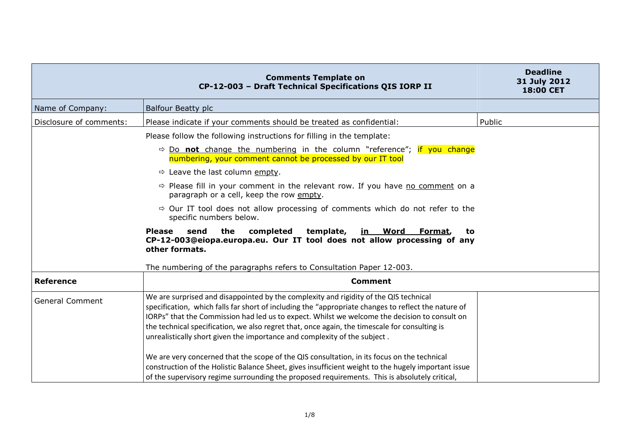|                         | <b>Comments Template on</b><br>CP-12-003 - Draft Technical Specifications QIS IORP II                                                                                                                                                                                                                                                                                                                                                                                       | <b>Deadline</b><br>31 July 2012<br>18:00 CET |
|-------------------------|-----------------------------------------------------------------------------------------------------------------------------------------------------------------------------------------------------------------------------------------------------------------------------------------------------------------------------------------------------------------------------------------------------------------------------------------------------------------------------|----------------------------------------------|
| Name of Company:        | <b>Balfour Beatty plc</b>                                                                                                                                                                                                                                                                                                                                                                                                                                                   |                                              |
| Disclosure of comments: | Please indicate if your comments should be treated as confidential:                                                                                                                                                                                                                                                                                                                                                                                                         | Public                                       |
|                         | Please follow the following instructions for filling in the template:                                                                                                                                                                                                                                                                                                                                                                                                       |                                              |
|                         | $\Rightarrow$ Do <b>not</b> change the numbering in the column "reference"; if you change<br>numbering, your comment cannot be processed by our IT tool                                                                                                                                                                                                                                                                                                                     |                                              |
|                         | $\Rightarrow$ Leave the last column empty.                                                                                                                                                                                                                                                                                                                                                                                                                                  |                                              |
|                         | $\Rightarrow$ Please fill in your comment in the relevant row. If you have no comment on a<br>paragraph or a cell, keep the row empty.                                                                                                                                                                                                                                                                                                                                      |                                              |
|                         | $\Rightarrow$ Our IT tool does not allow processing of comments which do not refer to the<br>specific numbers below.                                                                                                                                                                                                                                                                                                                                                        |                                              |
|                         | the<br>completed<br>template,<br><b>Please</b><br>send<br><u>in Word</u><br>Format,<br>to<br>CP-12-003@eiopa.europa.eu. Our IT tool does not allow processing of any<br>other formats.                                                                                                                                                                                                                                                                                      |                                              |
|                         | The numbering of the paragraphs refers to Consultation Paper 12-003.                                                                                                                                                                                                                                                                                                                                                                                                        |                                              |
| <b>Reference</b>        | <b>Comment</b>                                                                                                                                                                                                                                                                                                                                                                                                                                                              |                                              |
| <b>General Comment</b>  | We are surprised and disappointed by the complexity and rigidity of the QIS technical<br>specification, which falls far short of including the "appropriate changes to reflect the nature of<br>IORPs" that the Commission had led us to expect. Whilst we welcome the decision to consult on<br>the technical specification, we also regret that, once again, the timescale for consulting is<br>unrealistically short given the importance and complexity of the subject. |                                              |
|                         | We are very concerned that the scope of the QIS consultation, in its focus on the technical<br>construction of the Holistic Balance Sheet, gives insufficient weight to the hugely important issue<br>of the supervisory regime surrounding the proposed requirements. This is absolutely critical,                                                                                                                                                                         |                                              |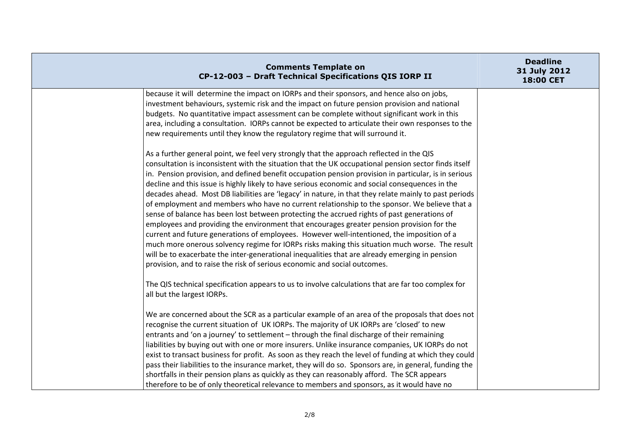| <b>Comments Template on</b><br>CP-12-003 - Draft Technical Specifications QIS IORP II                                                                                                                                                                                                                                                                                                                                                                                                                                                                                                                                                                                                                                                                                                                                                                                                                                                                                                                                                                                                                                                                                                           | <b>Deadline</b><br>31 July 2012<br>18:00 CET |
|-------------------------------------------------------------------------------------------------------------------------------------------------------------------------------------------------------------------------------------------------------------------------------------------------------------------------------------------------------------------------------------------------------------------------------------------------------------------------------------------------------------------------------------------------------------------------------------------------------------------------------------------------------------------------------------------------------------------------------------------------------------------------------------------------------------------------------------------------------------------------------------------------------------------------------------------------------------------------------------------------------------------------------------------------------------------------------------------------------------------------------------------------------------------------------------------------|----------------------------------------------|
| because it will determine the impact on IORPs and their sponsors, and hence also on jobs,<br>investment behaviours, systemic risk and the impact on future pension provision and national<br>budgets. No quantitative impact assessment can be complete without significant work in this<br>area, including a consultation. IORPs cannot be expected to articulate their own responses to the<br>new requirements until they know the regulatory regime that will surround it.                                                                                                                                                                                                                                                                                                                                                                                                                                                                                                                                                                                                                                                                                                                  |                                              |
| As a further general point, we feel very strongly that the approach reflected in the QIS<br>consultation is inconsistent with the situation that the UK occupational pension sector finds itself<br>in. Pension provision, and defined benefit occupation pension provision in particular, is in serious<br>decline and this issue is highly likely to have serious economic and social consequences in the<br>decades ahead. Most DB liabilities are 'legacy' in nature, in that they relate mainly to past periods<br>of employment and members who have no current relationship to the sponsor. We believe that a<br>sense of balance has been lost between protecting the accrued rights of past generations of<br>employees and providing the environment that encourages greater pension provision for the<br>current and future generations of employees. However well-intentioned, the imposition of a<br>much more onerous solvency regime for IORPs risks making this situation much worse. The result<br>will be to exacerbate the inter-generational inequalities that are already emerging in pension<br>provision, and to raise the risk of serious economic and social outcomes. |                                              |
| The QIS technical specification appears to us to involve calculations that are far too complex for<br>all but the largest IORPs.                                                                                                                                                                                                                                                                                                                                                                                                                                                                                                                                                                                                                                                                                                                                                                                                                                                                                                                                                                                                                                                                |                                              |
| We are concerned about the SCR as a particular example of an area of the proposals that does not<br>recognise the current situation of UK IORPs. The majority of UK IORPs are 'closed' to new<br>entrants and 'on a journey' to settlement - through the final discharge of their remaining<br>liabilities by buying out with one or more insurers. Unlike insurance companies, UK IORPs do not<br>exist to transact business for profit. As soon as they reach the level of funding at which they could<br>pass their liabilities to the insurance market, they will do so. Sponsors are, in general, funding the<br>shortfalls in their pension plans as quickly as they can reasonably afford. The SCR appears<br>therefore to be of only theoretical relevance to members and sponsors, as it would have no                                                                                                                                                                                                                                                                                                                                                                                 |                                              |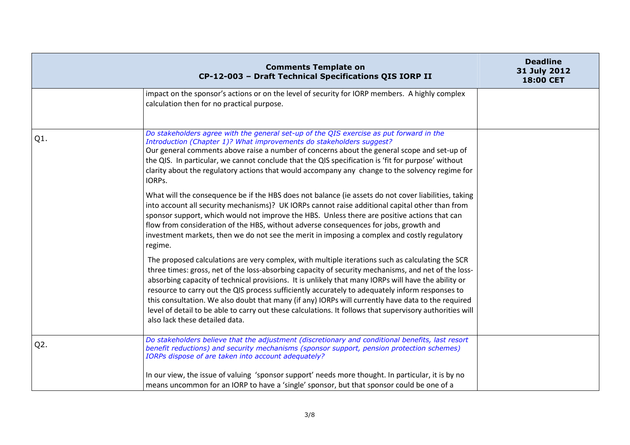|        | <b>Comments Template on</b><br>CP-12-003 - Draft Technical Specifications QIS IORP II                                                                                                                                                                                                                                                                                                                                                                                                                                                                                                                                                                                 | <b>Deadline</b><br>31 July 2012<br>18:00 CET |
|--------|-----------------------------------------------------------------------------------------------------------------------------------------------------------------------------------------------------------------------------------------------------------------------------------------------------------------------------------------------------------------------------------------------------------------------------------------------------------------------------------------------------------------------------------------------------------------------------------------------------------------------------------------------------------------------|----------------------------------------------|
|        | impact on the sponsor's actions or on the level of security for IORP members. A highly complex<br>calculation then for no practical purpose.                                                                                                                                                                                                                                                                                                                                                                                                                                                                                                                          |                                              |
| Q1.    | Do stakeholders agree with the general set-up of the QIS exercise as put forward in the<br>Introduction (Chapter 1)? What improvements do stakeholders suggest?<br>Our general comments above raise a number of concerns about the general scope and set-up of<br>the QIS. In particular, we cannot conclude that the QIS specification is 'fit for purpose' without<br>clarity about the regulatory actions that would accompany any change to the solvency regime for<br>IORPs.                                                                                                                                                                                     |                                              |
|        | What will the consequence be if the HBS does not balance (ie assets do not cover liabilities, taking<br>into account all security mechanisms)? UK IORPs cannot raise additional capital other than from<br>sponsor support, which would not improve the HBS. Unless there are positive actions that can<br>flow from consideration of the HBS, without adverse consequences for jobs, growth and<br>investment markets, then we do not see the merit in imposing a complex and costly regulatory<br>regime.                                                                                                                                                           |                                              |
|        | The proposed calculations are very complex, with multiple iterations such as calculating the SCR<br>three times: gross, net of the loss-absorbing capacity of security mechanisms, and net of the loss-<br>absorbing capacity of technical provisions. It is unlikely that many IORPs will have the ability or<br>resource to carry out the QIS process sufficiently accurately to adequately inform responses to<br>this consultation. We also doubt that many (if any) IORPs will currently have data to the required<br>level of detail to be able to carry out these calculations. It follows that supervisory authorities will<br>also lack these detailed data. |                                              |
| $Q2$ . | Do stakeholders believe that the adjustment (discretionary and conditional benefits, last resort<br>benefit reductions) and security mechanisms (sponsor support, pension protection schemes)<br>IORPs dispose of are taken into account adequately?                                                                                                                                                                                                                                                                                                                                                                                                                  |                                              |
|        | In our view, the issue of valuing 'sponsor support' needs more thought. In particular, it is by no<br>means uncommon for an IORP to have a 'single' sponsor, but that sponsor could be one of a                                                                                                                                                                                                                                                                                                                                                                                                                                                                       |                                              |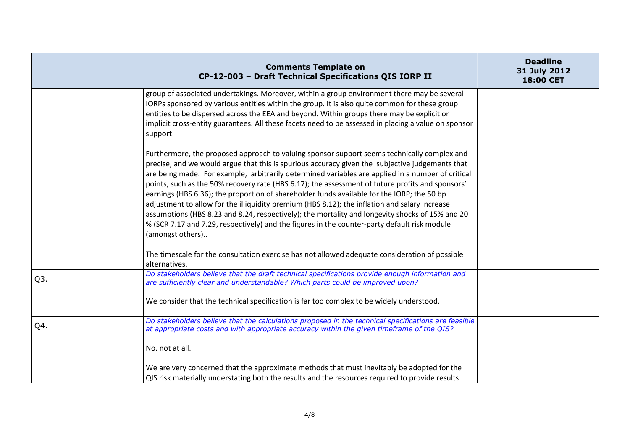|                  | <b>Comments Template on</b><br>CP-12-003 - Draft Technical Specifications QIS IORP II                                                                                                                                                                                                                                                                                                                                                                                                                                                                                                                                                                                                                                                                                                                                         | <b>Deadline</b><br>31 July 2012<br>18:00 CET |
|------------------|-------------------------------------------------------------------------------------------------------------------------------------------------------------------------------------------------------------------------------------------------------------------------------------------------------------------------------------------------------------------------------------------------------------------------------------------------------------------------------------------------------------------------------------------------------------------------------------------------------------------------------------------------------------------------------------------------------------------------------------------------------------------------------------------------------------------------------|----------------------------------------------|
|                  | group of associated undertakings. Moreover, within a group environment there may be several<br>IORPs sponsored by various entities within the group. It is also quite common for these group<br>entities to be dispersed across the EEA and beyond. Within groups there may be explicit or<br>implicit cross-entity guarantees. All these facets need to be assessed in placing a value on sponsor<br>support.                                                                                                                                                                                                                                                                                                                                                                                                                |                                              |
|                  | Furthermore, the proposed approach to valuing sponsor support seems technically complex and<br>precise, and we would argue that this is spurious accuracy given the subjective judgements that<br>are being made. For example, arbitrarily determined variables are applied in a number of critical<br>points, such as the 50% recovery rate (HBS 6.17); the assessment of future profits and sponsors'<br>earnings (HBS 6.36); the proportion of shareholder funds available for the IORP; the 50 bp<br>adjustment to allow for the illiquidity premium (HBS 8.12); the inflation and salary increase<br>assumptions (HBS 8.23 and 8.24, respectively); the mortality and longevity shocks of 15% and 20<br>% (SCR 7.17 and 7.29, respectively) and the figures in the counter-party default risk module<br>(amongst others) |                                              |
|                  | The timescale for the consultation exercise has not allowed adequate consideration of possible<br>alternatives.                                                                                                                                                                                                                                                                                                                                                                                                                                                                                                                                                                                                                                                                                                               |                                              |
| Q <sub>3</sub> . | Do stakeholders believe that the draft technical specifications provide enough information and<br>are sufficiently clear and understandable? Which parts could be improved upon?                                                                                                                                                                                                                                                                                                                                                                                                                                                                                                                                                                                                                                              |                                              |
|                  | We consider that the technical specification is far too complex to be widely understood.                                                                                                                                                                                                                                                                                                                                                                                                                                                                                                                                                                                                                                                                                                                                      |                                              |
| Q4.              | Do stakeholders believe that the calculations proposed in the technical specifications are feasible<br>at appropriate costs and with appropriate accuracy within the given timeframe of the QIS?                                                                                                                                                                                                                                                                                                                                                                                                                                                                                                                                                                                                                              |                                              |
|                  | No. not at all.                                                                                                                                                                                                                                                                                                                                                                                                                                                                                                                                                                                                                                                                                                                                                                                                               |                                              |
|                  | We are very concerned that the approximate methods that must inevitably be adopted for the<br>QIS risk materially understating both the results and the resources required to provide results                                                                                                                                                                                                                                                                                                                                                                                                                                                                                                                                                                                                                                 |                                              |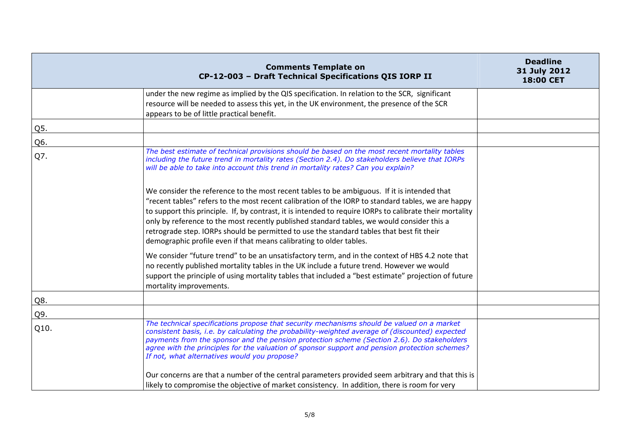|      | <b>Comments Template on</b><br>CP-12-003 - Draft Technical Specifications QIS IORP II                                                                                                                                                                                                                                                                                                                                                                                                                                                                                           | <b>Deadline</b><br>31 July 2012<br>18:00 CET |
|------|---------------------------------------------------------------------------------------------------------------------------------------------------------------------------------------------------------------------------------------------------------------------------------------------------------------------------------------------------------------------------------------------------------------------------------------------------------------------------------------------------------------------------------------------------------------------------------|----------------------------------------------|
|      | under the new regime as implied by the QIS specification. In relation to the SCR, significant<br>resource will be needed to assess this yet, in the UK environment, the presence of the SCR<br>appears to be of little practical benefit.                                                                                                                                                                                                                                                                                                                                       |                                              |
| Q5.  |                                                                                                                                                                                                                                                                                                                                                                                                                                                                                                                                                                                 |                                              |
| Q6.  |                                                                                                                                                                                                                                                                                                                                                                                                                                                                                                                                                                                 |                                              |
| Q7.  | The best estimate of technical provisions should be based on the most recent mortality tables<br>including the future trend in mortality rates (Section 2.4). Do stakeholders believe that IORPs<br>will be able to take into account this trend in mortality rates? Can you explain?                                                                                                                                                                                                                                                                                           |                                              |
|      | We consider the reference to the most recent tables to be ambiguous. If it is intended that<br>"recent tables" refers to the most recent calibration of the IORP to standard tables, we are happy<br>to support this principle. If, by contrast, it is intended to require IORPs to calibrate their mortality<br>only by reference to the most recently published standard tables, we would consider this a<br>retrograde step. IORPs should be permitted to use the standard tables that best fit their<br>demographic profile even if that means calibrating to older tables. |                                              |
|      | We consider "future trend" to be an unsatisfactory term, and in the context of HBS 4.2 note that<br>no recently published mortality tables in the UK include a future trend. However we would<br>support the principle of using mortality tables that included a "best estimate" projection of future<br>mortality improvements.                                                                                                                                                                                                                                                |                                              |
| Q8.  |                                                                                                                                                                                                                                                                                                                                                                                                                                                                                                                                                                                 |                                              |
| Q9.  |                                                                                                                                                                                                                                                                                                                                                                                                                                                                                                                                                                                 |                                              |
| Q10. | The technical specifications propose that security mechanisms should be valued on a market<br>consistent basis, i.e. by calculating the probability-weighted average of (discounted) expected<br>payments from the sponsor and the pension protection scheme (Section 2.6). Do stakeholders<br>agree with the principles for the valuation of sponsor support and pension protection schemes?<br>If not, what alternatives would you propose?                                                                                                                                   |                                              |
|      | Our concerns are that a number of the central parameters provided seem arbitrary and that this is<br>likely to compromise the objective of market consistency. In addition, there is room for very                                                                                                                                                                                                                                                                                                                                                                              |                                              |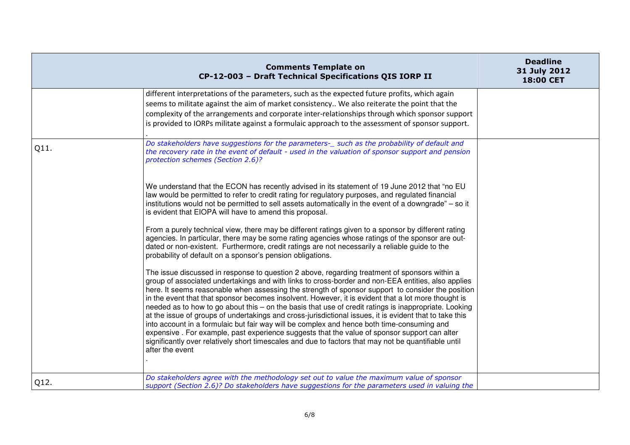|      | <b>Comments Template on</b><br>CP-12-003 - Draft Technical Specifications QIS IORP II                                                                                                                                                                                                                                                                                                                                                                                                                                                                                                                                                                                                                                                                                                                                                                                                                                                                        | <b>Deadline</b><br>31 July 2012<br>18:00 CET |
|------|--------------------------------------------------------------------------------------------------------------------------------------------------------------------------------------------------------------------------------------------------------------------------------------------------------------------------------------------------------------------------------------------------------------------------------------------------------------------------------------------------------------------------------------------------------------------------------------------------------------------------------------------------------------------------------------------------------------------------------------------------------------------------------------------------------------------------------------------------------------------------------------------------------------------------------------------------------------|----------------------------------------------|
|      | different interpretations of the parameters, such as the expected future profits, which again<br>seems to militate against the aim of market consistency We also reiterate the point that the<br>complexity of the arrangements and corporate inter-relationships through which sponsor support<br>is provided to IORPs militate against a formulaic approach to the assessment of sponsor support.                                                                                                                                                                                                                                                                                                                                                                                                                                                                                                                                                          |                                              |
| Q11. | Do stakeholders have suggestions for the parameters-_ such as the probability of default and<br>the recovery rate in the event of default - used in the valuation of sponsor support and pension<br>protection schemes (Section 2.6)?                                                                                                                                                                                                                                                                                                                                                                                                                                                                                                                                                                                                                                                                                                                        |                                              |
|      | We understand that the ECON has recently advised in its statement of 19 June 2012 that "no EU<br>law would be permitted to refer to credit rating for regulatory purposes, and regulated financial<br>institutions would not be permitted to sell assets automatically in the event of a downgrade" - so it<br>is evident that EIOPA will have to amend this proposal.                                                                                                                                                                                                                                                                                                                                                                                                                                                                                                                                                                                       |                                              |
|      | From a purely technical view, there may be different ratings given to a sponsor by different rating<br>agencies. In particular, there may be some rating agencies whose ratings of the sponsor are out-<br>dated or non-existent. Furthermore, credit ratings are not necessarily a reliable guide to the<br>probability of default on a sponsor's pension obligations.                                                                                                                                                                                                                                                                                                                                                                                                                                                                                                                                                                                      |                                              |
|      | The issue discussed in response to question 2 above, regarding treatment of sponsors within a<br>group of associated undertakings and with links to cross-border and non-EEA entities, also applies<br>here. It seems reasonable when assessing the strength of sponsor support to consider the position<br>in the event that that sponsor becomes insolvent. However, it is evident that a lot more thought is<br>needed as to how to go about this - on the basis that use of credit ratings is inappropriate. Looking<br>at the issue of groups of undertakings and cross-jurisdictional issues, it is evident that to take this<br>into account in a formulaic but fair way will be complex and hence both time-consuming and<br>expensive. For example, past experience suggests that the value of sponsor support can alter<br>significantly over relatively short timescales and due to factors that may not be quantifiable until<br>after the event |                                              |
| Q12. | Do stakeholders agree with the methodology set out to value the maximum value of sponsor<br>support (Section 2.6)? Do stakeholders have suggestions for the parameters used in valuing the                                                                                                                                                                                                                                                                                                                                                                                                                                                                                                                                                                                                                                                                                                                                                                   |                                              |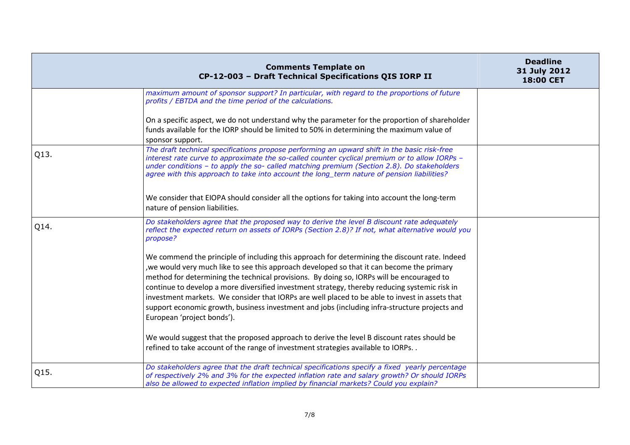|      | <b>Comments Template on</b><br>CP-12-003 - Draft Technical Specifications QIS IORP II                                                                                                                                                                                                                                                                                                                                                                                                                                                                                                                                      | <b>Deadline</b><br>31 July 2012<br>18:00 CET |
|------|----------------------------------------------------------------------------------------------------------------------------------------------------------------------------------------------------------------------------------------------------------------------------------------------------------------------------------------------------------------------------------------------------------------------------------------------------------------------------------------------------------------------------------------------------------------------------------------------------------------------------|----------------------------------------------|
|      | maximum amount of sponsor support? In particular, with regard to the proportions of future<br>profits / EBTDA and the time period of the calculations.                                                                                                                                                                                                                                                                                                                                                                                                                                                                     |                                              |
|      | On a specific aspect, we do not understand why the parameter for the proportion of shareholder<br>funds available for the IORP should be limited to 50% in determining the maximum value of<br>sponsor support.                                                                                                                                                                                                                                                                                                                                                                                                            |                                              |
| Q13. | The draft technical specifications propose performing an upward shift in the basic risk-free<br>interest rate curve to approximate the so-called counter cyclical premium or to allow IORPs -<br>under conditions - to apply the so- called matching premium (Section 2.8). Do stakeholders<br>agree with this approach to take into account the long_term nature of pension liabilities?                                                                                                                                                                                                                                  |                                              |
|      | We consider that EIOPA should consider all the options for taking into account the long-term<br>nature of pension liabilities.                                                                                                                                                                                                                                                                                                                                                                                                                                                                                             |                                              |
| Q14. | Do stakeholders agree that the proposed way to derive the level B discount rate adequately<br>reflect the expected return on assets of IORPs (Section 2.8)? If not, what alternative would you<br>propose?                                                                                                                                                                                                                                                                                                                                                                                                                 |                                              |
|      | We commend the principle of including this approach for determining the discount rate. Indeed<br>, we would very much like to see this approach developed so that it can become the primary<br>method for determining the technical provisions. By doing so, IORPs will be encouraged to<br>continue to develop a more diversified investment strategy, thereby reducing systemic risk in<br>investment markets. We consider that IORPs are well placed to be able to invest in assets that<br>support economic growth, business investment and jobs (including infra-structure projects and<br>European 'project bonds'). |                                              |
|      | We would suggest that the proposed approach to derive the level B discount rates should be<br>refined to take account of the range of investment strategies available to IORPs. .                                                                                                                                                                                                                                                                                                                                                                                                                                          |                                              |
| Q15. | Do stakeholders agree that the draft technical specifications specify a fixed yearly percentage<br>of respectively 2% and 3% for the expected inflation rate and salary growth? Or should IORPs<br>also be allowed to expected inflation implied by financial markets? Could you explain?                                                                                                                                                                                                                                                                                                                                  |                                              |